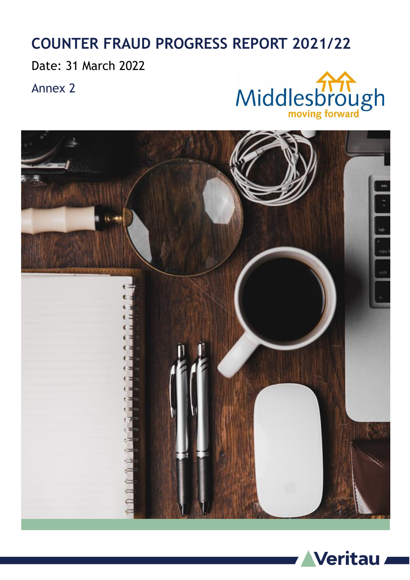#### **COUNTER FRAUD PROGRESS REPORT 2021/22**

Date: 31 March 2022

Annex 2





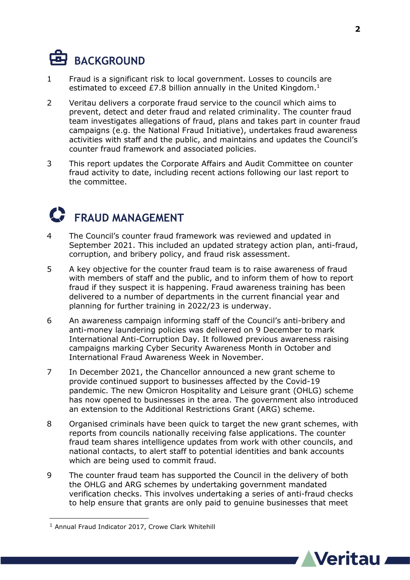### **BACKGROUND**

- 1 Fraud is a significant risk to local government. Losses to councils are estimated to exceed £7.8 billion annually in the United Kingdom. $<sup>1</sup>$ </sup>
- 2 Veritau delivers a corporate fraud service to the council which aims to prevent, detect and deter fraud and related criminality. The counter fraud team investigates allegations of fraud, plans and takes part in counter fraud campaigns (e.g. the National Fraud Initiative), undertakes fraud awareness activities with staff and the public, and maintains and updates the Council's counter fraud framework and associated policies.
- 3 This report updates the Corporate Affairs and Audit Committee on counter fraud activity to date, including recent actions following our last report to the committee.

#### **FRAUD MANAGEMENT**

- 4 The Council's counter fraud framework was reviewed and updated in September 2021. This included an updated strategy action plan, anti-fraud, corruption, and bribery policy, and fraud risk assessment.
- 5 A key objective for the counter fraud team is to raise awareness of fraud with members of staff and the public, and to inform them of how to report fraud if they suspect it is happening. Fraud awareness training has been delivered to a number of departments in the current financial year and planning for further training in 2022/23 is underway.
- 6 An awareness campaign informing staff of the Council's anti-bribery and anti-money laundering policies was delivered on 9 December to mark International Anti-Corruption Day. It followed previous awareness raising campaigns marking Cyber Security Awareness Month in October and International Fraud Awareness Week in November.
- 7 In December 2021, the Chancellor announced a new grant scheme to provide continued support to businesses affected by the Covid-19 pandemic. The new Omicron Hospitality and Leisure grant (OHLG) scheme has now opened to businesses in the area. The government also introduced an extension to the Additional Restrictions Grant (ARG) scheme.
- 8 Organised criminals have been quick to target the new grant schemes, with reports from councils nationally receiving false applications. The counter fraud team shares intelligence updates from work with other councils, and national contacts, to alert staff to potential identities and bank accounts which are being used to commit fraud.
- 9 The counter fraud team has supported the Council in the delivery of both the OHLG and ARG schemes by undertaking government mandated verification checks. This involves undertaking a series of anti-fraud checks to help ensure that grants are only paid to genuine businesses that meet

1



<sup>&</sup>lt;sup>1</sup> Annual Fraud Indicator 2017, Crowe Clark Whitehill